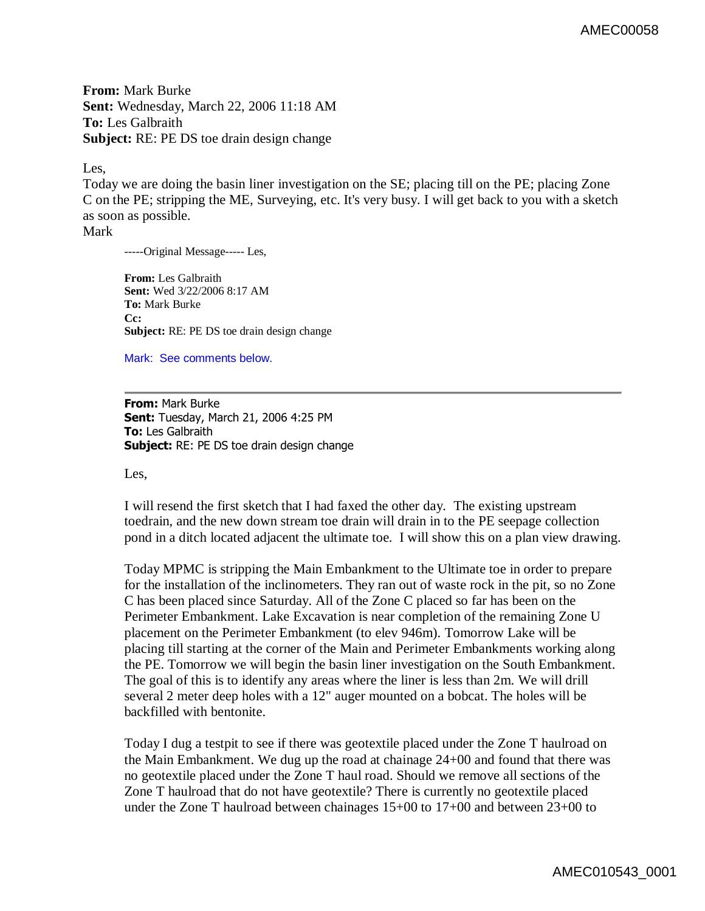**From:** Mark Burke **Sent:** Wednesday, March 22, 2006 11:18 AM **To:** Les Galbraith **Subject:** RE: PE DS toe drain design change

Les,

Today we are doing the basin liner investigation on the SE; placing till on the PE; placing Zone C on the PE; stripping the ME, Surveying, etc. It's very busy. I will get back to you with a sketch as soon as possible.

Mark

-----Original Message----- Les,

**From:** Les Galbraith **Sent:** Wed 3/22/2006 8:17 AM **To:** Mark Burke **Cc: Subject:** RE: PE DS toe drain design change

Mark: See comments below.

**From:** Mark Burke **Sent:** Tuesday, March 21, 2006 4:25 PM **To:** Les Galbraith **Subject:** RE: PE DS toe drain design change

Les,

I will resend the first sketch that I had faxed the other day. The existing upstream toedrain, and the new down stream toe drain will drain in to the PE seepage collection pond in a ditch located adjacent the ultimate toe. I will show this on a plan view drawing.

Today MPMC is stripping the Main Embankment to the Ultimate toe in order to prepare for the installation of the inclinometers. They ran out of waste rock in the pit, so no Zone C has been placed since Saturday. All of the Zone C placed so far has been on the Perimeter Embankment. Lake Excavation is near completion of the remaining Zone U placement on the Perimeter Embankment (to elev 946m). Tomorrow Lake will be placing till starting at the corner of the Main and Perimeter Embankments working along the PE. Tomorrow we will begin the basin liner investigation on the South Embankment. The goal of this is to identify any areas where the liner is less than 2m. We will drill several 2 meter deep holes with a 12" auger mounted on a bobcat. The holes will be backfilled with bentonite.

Today I dug a testpit to see if there was geotextile placed under the Zone T haulroad on the Main Embankment. We dug up the road at chainage 24+00 and found that there was no geotextile placed under the Zone T haul road. Should we remove all sections of the Zone T haulroad that do not have geotextile? There is currently no geotextile placed under the Zone T haulroad between chainages 15+00 to 17+00 and between 23+00 to